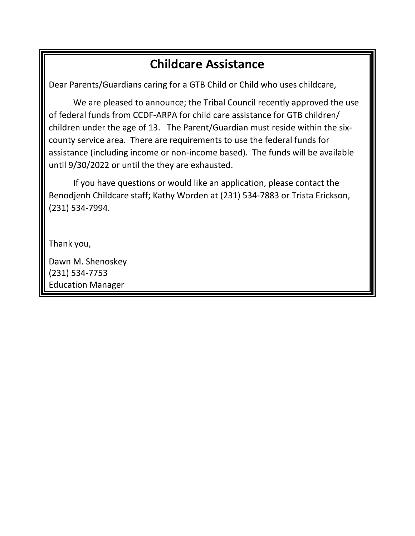# **Childcare Assistance**

Dear Parents/Guardians caring for a GTB Child or Child who uses childcare,

We are pleased to announce; the Tribal Council recently approved the use of federal funds from CCDF-ARPA for child care assistance for GTB children/ children under the age of 13. The Parent/Guardian must reside within the sixcounty service area. There are requirements to use the federal funds for assistance (including income or non-income based). The funds will be available until 9/30/2022 or until the they are exhausted.

If you have questions or would like an application, please contact the Benodjenh Childcare staff; Kathy Worden at (231) 534-7883 or Trista Erickson, (231) 534-7994.

Thank you,

Dawn M. Shenoskey (231) 534-7753 Education Manager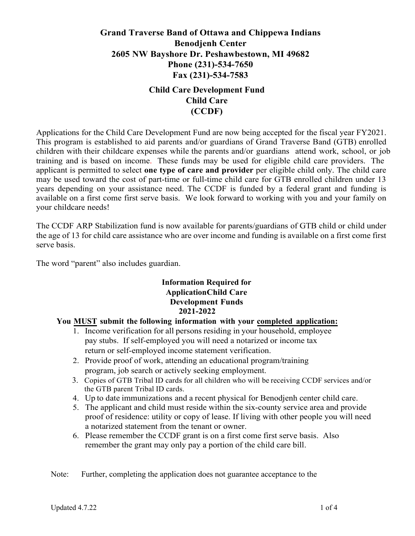# **Grand Traverse Band of Ottawa and Chippewa Indians Benodjenh Center 2605 NW Bayshore Dr. Peshawbestown, MI 49682 Phone (231)-534-7650 Fax (231)-534-7583**

# **Child Care Development Fund Child Care (CCDF)**

Applications for the Child Care Development Fund are now being accepted for the fiscal year FY2021. This program is established to aid parents and/or guardians of Grand Traverse Band (GTB) enrolled children with their childcare expenses while the parents and/or guardians attend work, school, or job training and is based on income. These funds may be used for eligible child care providers. The applicant is permitted to select **one type of care and provider** per eligible child only. The child care may be used toward the cost of part-time or full-time child care for GTB enrolled children under 13 years depending on your assistance need. The CCDF is funded by a federal grant and funding is available on a first come first serve basis. We look forward to working with you and your family on your childcare needs!

The CCDF ARP Stabilization fund is now available for parents/guardians of GTB child or child under the age of 13 for child care assistance who are over income and funding is available on a first come first serve basis.

The word "parent" also includes guardian.

### **Information Required for ApplicationChild Care Development Funds 2021-2022**

### **You MUST submit the following information with your completed application:**

- 1. Income verification for all persons residing in your household, employee pay stubs. If self-employed you will need a notarized or income tax return or self-employed income statement verification.
- 2. Provide proof of work, attending an educational program/training program, job search or actively seeking employment.
- 3. Copies of GTB Tribal ID cards for all children who will be receiving CCDF services and/or the GTB parent Tribal ID cards.
- 4. Up to date immunizations and a recent physical for Benodjenh center child care.
- 5. The applicant and child must reside within the six-county service area and provide proof of residence: utility or copy of lease. If living with other people you will need a notarized statement from the tenant or owner.
- 6. Please remember the CCDF grant is on a first come first serve basis. Also remember the grant may only pay a portion of the child care bill.

Note: Further, completing the application does not guarantee acceptance to the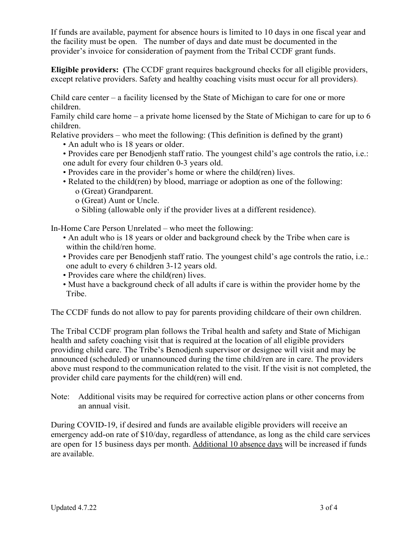If funds are available, payment for absence hours is limited to 10 days in one fiscal year and the facility must be open. The number of days and date must be documented in the provider's invoice for consideration of payment from the Tribal CCDF grant funds.

**Eligible providers: (**The CCDF grant requires background checks for all eligible providers, except relative providers. Safety and healthy coaching visits must occur for all providers).

Child care center – a facility licensed by the State of Michigan to care for one or more children.

Family child care home – a private home licensed by the State of Michigan to care for up to 6 children.

Relative providers – who meet the following: (This definition is defined by the grant)

- An adult who is 18 years or older.
- Provides care per Benodjenh staff ratio. The youngest child's age controls the ratio, i.e.: one adult for every four children 0-3 years old.
- Provides care in the provider's home or where the child(ren) lives.
- Related to the child(ren) by blood, marriage or adoption as one of the following:
	- o (Great) Grandparent.
	- o (Great) Aunt or Uncle.
	- o Sibling (allowable only if the provider lives at a different residence).

In-Home Care Person Unrelated – who meet the following:

- An adult who is 18 years or older and background check by the Tribe when care is within the child/ren home.
- Provides care per Benodjenh staff ratio. The youngest child's age controls the ratio, i.e.: one adult to every 6 children 3-12 years old.
- Provides care where the child(ren) lives.
- Must have a background check of all adults if care is within the provider home by the Tribe.

The CCDF funds do not allow to pay for parents providing childcare of their own children.

The Tribal CCDF program plan follows the Tribal health and safety and State of Michigan health and safety coaching visit that is required at the location of all eligible providers providing child care. The Tribe's Benodjenh supervisor or designee will visit and may be announced (scheduled) or unannounced during the time child/ren are in care. The providers above must respond to the communication related to the visit. If the visit is not completed, the provider child care payments for the child(ren) will end.

Note: Additional visits may be required for corrective action plans or other concerns from an annual visit.

During COVID-19, if desired and funds are available eligible providers will receive an emergency add-on rate of \$10/day, regardless of attendance, as long as the child care services are open for 15 business days per month. Additional 10 absence days will be increased if funds are available.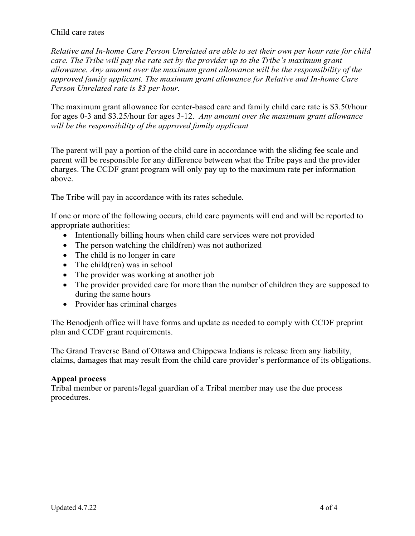#### Child care rates

*Relative and In-home Care Person Unrelated are able to set their own per hour rate for child care. The Tribe will pay the rate set by the provider up to the Tribe's maximum grant allowance. Any amount over the maximum grant allowance will be the responsibility of the approved family applicant. The maximum grant allowance for Relative and In-home Care Person Unrelated rate is \$3 per hour.* 

The maximum grant allowance for center-based care and family child care rate is \$3.50/hour for ages 0-3 and \$3.25/hour for ages 3-12. *Any amount over the maximum grant allowance will be the responsibility of the approved family applicant*

The parent will pay a portion of the child care in accordance with the sliding fee scale and parent will be responsible for any difference between what the Tribe pays and the provider charges. The CCDF grant program will only pay up to the maximum rate per information above.

The Tribe will pay in accordance with its rates schedule.

If one or more of the following occurs, child care payments will end and will be reported to appropriate authorities:

- Intentionally billing hours when child care services were not provided
- The person watching the child(ren) was not authorized
- The child is no longer in care
- The child(ren) was in school
- The provider was working at another job
- The provider provided care for more than the number of children they are supposed to during the same hours
- Provider has criminal charges

The Benodjenh office will have forms and update as needed to comply with CCDF preprint plan and CCDF grant requirements.

The Grand Traverse Band of Ottawa and Chippewa Indians is release from any liability, claims, damages that may result from the child care provider's performance of its obligations.

### **Appeal process**

Tribal member or parents/legal guardian of a Tribal member may use the due process procedures.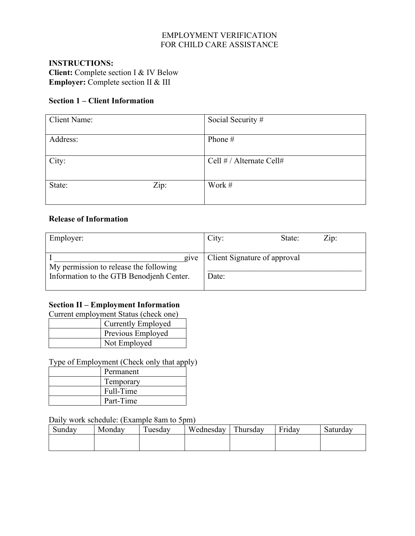## EMPLOYMENT VERIFICATION FOR CHILD CARE ASSISTANCE

### **INSTRUCTIONS: Client:** Complete section I & IV Below **Employer:** Complete section II & III

### **Section 1 – Client Information**

| <b>Client Name:</b> |      | Social Security #        |
|---------------------|------|--------------------------|
| Address:            |      | Phone #                  |
| City:               |      | Cell # / Alternate Cell# |
| State:              | Zip: | Work #                   |

#### **Release of Information**

| Employer:                                      | $\overline{Z}$ ip:<br>City:<br>State: |  |
|------------------------------------------------|---------------------------------------|--|
|                                                |                                       |  |
| give<br>My permission to release the following | Client Signature of approval          |  |
| Information to the GTB Benodjenh Center.       | Date:                                 |  |

## **Section II – Employment Information**

Current employment Status (check one)

| <b>Currently Employed</b> |
|---------------------------|
| Previous Employed         |
| Not Employed              |

Type of Employment (Check only that apply)

| Permanent |
|-----------|
| Temporary |
| Full-Time |
| Part-Time |

Daily work schedule: (Example 8am to 5pm)

| Sundav | Mondav | $\mathbf{r}$<br>uesday | Wednesday | Thursday | $\blacksquare$<br>Fridav | Saturday |
|--------|--------|------------------------|-----------|----------|--------------------------|----------|
|        |        |                        |           |          |                          |          |
|        |        |                        |           |          |                          |          |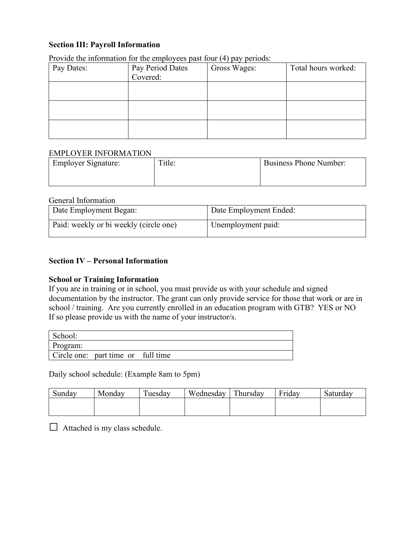#### **Section III: Payroll Information**

| Pay Dates: | Pay Period Dates | Gross Wages: | Total hours worked: |
|------------|------------------|--------------|---------------------|
|            | Covered:         |              |                     |
|            |                  |              |                     |
|            |                  |              |                     |
|            |                  |              |                     |
|            |                  |              |                     |
|            |                  |              |                     |
|            |                  |              |                     |

Provide the information for the employees past four (4) pay periods:

#### EMPLOYER INFORMATION

| <b>Employer Signature:</b> | Title: | <b>Business Phone Number:</b> |
|----------------------------|--------|-------------------------------|
|                            |        |                               |

#### General Information

| Date Employment Began:                 | Date Employment Ended: |
|----------------------------------------|------------------------|
| Paid: weekly or bi weekly (circle one) | Unemployment paid:     |

#### **Section IV – Personal Information**

#### **School or Training Information**

If you are in training or in school, you must provide us with your schedule and signed documentation by the instructor. The grant can only provide service for those that work or are in school / training. Are you currently enrolled in an education program with GTB? YES or NO If so please provide us with the name of your instructor/s.

| School:  |                                    |  |
|----------|------------------------------------|--|
| Program: |                                    |  |
|          | Circle one: part time or full time |  |

Daily school schedule: (Example 8am to 5pm)

| Sunday | Monday | m<br>uesday | Wednesday | Thursday | $\blacksquare$<br><b>Friday</b> | Saturday |
|--------|--------|-------------|-----------|----------|---------------------------------|----------|
|        |        |             |           |          |                                 |          |
|        |        |             |           |          |                                 |          |

 $\Box$  Attached is my class schedule.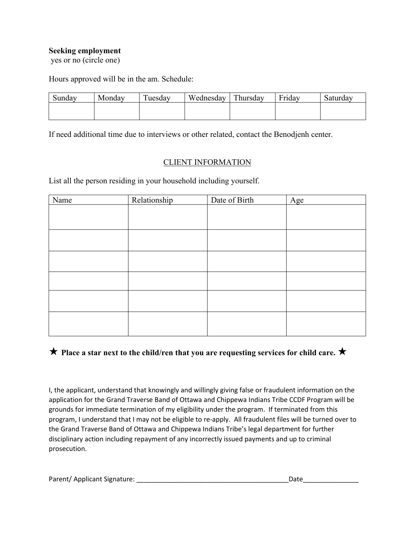#### **Seeking employment**

yes or no (circle one)

Hours approved will be in the am. Schedule:

| Sunday | Mondav | <b>TT</b><br>uesdav | Wednesday | Thursday | $\mathbf{r}$ .<br>Friday | Saturday |
|--------|--------|---------------------|-----------|----------|--------------------------|----------|
|        |        |                     |           |          |                          |          |
|        |        |                     |           |          |                          |          |

If need additional time due to interviews or other related, contact the Benodjenh center.

## CLIENT INFORMATION

List all the person residing in your household including yourself.

| Name | Relationship | Date of Birth | Age |
|------|--------------|---------------|-----|
|      |              |               |     |
|      |              |               |     |
|      |              |               |     |
|      |              |               |     |
|      |              |               |     |
|      |              |               |     |
|      |              |               |     |
|      |              |               |     |
|      |              |               |     |

## $\star$  **Place a star next to the child/ren that you are requesting services for child care.**  $\star$

I, the applicant, understand that knowingly and willingly giving false or fraudulent information on the application for the Grand Traverse Band of Ottawa and Chippewa Indians Tribe CCDF Program will be grounds for immediate termination of my eligibility under the program. If terminated from this program, I understand that I may not be eligible to re-apply. All fraudulent files will be turned over to the Grand Traverse Band of Ottawa and Chippewa Indians Tribe's legal department for further disciplinary action including repayment of any incorrectly issued payments and up to criminal prosecution.

| Parent/ Applicant Signature: |  |
|------------------------------|--|
|                              |  |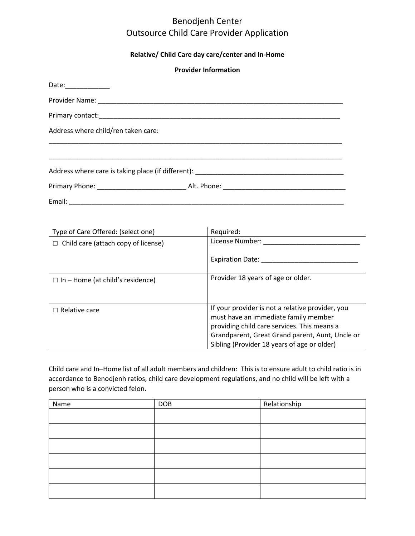### **Relative/ Child Care day care/center and In-Home**

|                                            | <b>Provider Information</b>                                                                                                                                                                                                               |
|--------------------------------------------|-------------------------------------------------------------------------------------------------------------------------------------------------------------------------------------------------------------------------------------------|
| Date:______________                        |                                                                                                                                                                                                                                           |
|                                            |                                                                                                                                                                                                                                           |
|                                            |                                                                                                                                                                                                                                           |
| Address where child/ren taken care:        |                                                                                                                                                                                                                                           |
|                                            |                                                                                                                                                                                                                                           |
|                                            |                                                                                                                                                                                                                                           |
|                                            |                                                                                                                                                                                                                                           |
|                                            |                                                                                                                                                                                                                                           |
|                                            |                                                                                                                                                                                                                                           |
| Type of Care Offered: (select one)         | Required:<br><u> 1989 - Johann Barn, amerikansk politiker (d. 1989)</u>                                                                                                                                                                   |
| $\Box$ Child care (attach copy of license) |                                                                                                                                                                                                                                           |
|                                            |                                                                                                                                                                                                                                           |
| $\Box$ In – Home (at child's residence)    | Provider 18 years of age or older.                                                                                                                                                                                                        |
| $\Box$ Relative care                       | If your provider is not a relative provider, you<br>must have an immediate family member<br>providing child care services. This means a<br>Grandparent, Great Grand parent, Aunt, Uncle or<br>Sibling (Provider 18 years of age or older) |

Child care and In–Home list of all adult members and children: This is to ensure adult to child ratio is in accordance to Benodjenh ratios, child care development regulations, and no child will be left with a person who is a convicted felon.

| Name | <b>DOB</b> | Relationship |
|------|------------|--------------|
|      |            |              |
|      |            |              |
|      |            |              |
|      |            |              |
|      |            |              |
|      |            |              |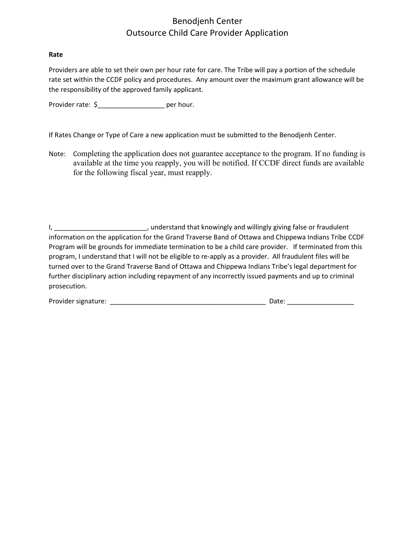#### **Rate**

Providers are able to set their own per hour rate for care. The Tribe will pay a portion of the schedule rate set within the CCDF policy and procedures. Any amount over the maximum grant allowance will be the responsibility of the approved family applicant.

Provider rate:  $\zeta$  per hour.

If Rates Change or Type of Care a new application must be submitted to the Benodjenh Center.

Note: Completing the application does not guarantee acceptance to the program. If no funding is available at the time you reapply, you will be notified. If CCDF direct funds are available for the following fiscal year, must reapply.

I, the contract of the contract willingly giving false or fraudulent information on the application for the Grand Traverse Band of Ottawa and Chippewa Indians Tribe CCDF Program will be grounds for immediate termination to be a child care provider. If terminated from this program, I understand that I will not be eligible to re-apply as a provider. All fraudulent files will be turned over to the Grand Traverse Band of Ottawa and Chippewa Indians Tribe's legal department for further disciplinary action including repayment of any incorrectly issued payments and up to criminal prosecution.

| Provider signature: | $3-1$<br>Jale |
|---------------------|---------------|
|                     |               |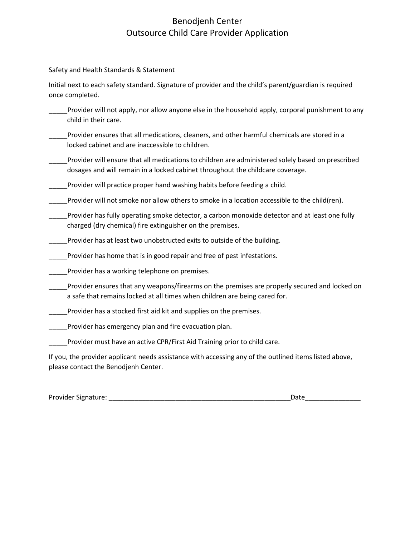Safety and Health Standards & Statement

Initial next to each safety standard. Signature of provider and the child's parent/guardian is required once completed.

- \_\_\_\_\_Provider will not apply, nor allow anyone else in the household apply, corporal punishment to any child in their care.
- Provider ensures that all medications, cleaners, and other harmful chemicals are stored in a locked cabinet and are inaccessible to children.
- \_\_\_\_\_Provider will ensure that all medications to children are administered solely based on prescribed dosages and will remain in a locked cabinet throughout the childcare coverage.
- Provider will practice proper hand washing habits before feeding a child.

\_\_\_\_\_Provider will not smoke nor allow others to smoke in a location accessible to the child(ren).

- \_\_\_\_\_Provider has fully operating smoke detector, a carbon monoxide detector and at least one fully charged (dry chemical) fire extinguisher on the premises.
- \_\_\_\_\_Provider has at least two unobstructed exits to outside of the building.
- \_\_\_\_\_Provider has home that is in good repair and free of pest infestations.
- \_\_\_\_\_Provider has a working telephone on premises.
- \_\_\_\_\_Provider ensures that any weapons/firearms on the premises are properly secured and locked on a safe that remains locked at all times when children are being cared for.
- \_\_\_\_\_Provider has a stocked first aid kit and supplies on the premises.
- \_\_\_\_\_Provider has emergency plan and fire evacuation plan.
- \_\_\_\_\_Provider must have an active CPR/First Aid Training prior to child care.

If you, the provider applicant needs assistance with accessing any of the outlined items listed above, please contact the Benodjenh Center.

Provider Signature: \_\_\_\_\_\_\_\_\_\_\_\_\_\_\_\_\_\_\_\_\_\_\_\_\_\_\_\_\_\_\_\_\_\_\_\_\_\_\_\_\_\_\_\_\_\_\_\_\_Date\_\_\_\_\_\_\_\_\_\_\_\_\_\_\_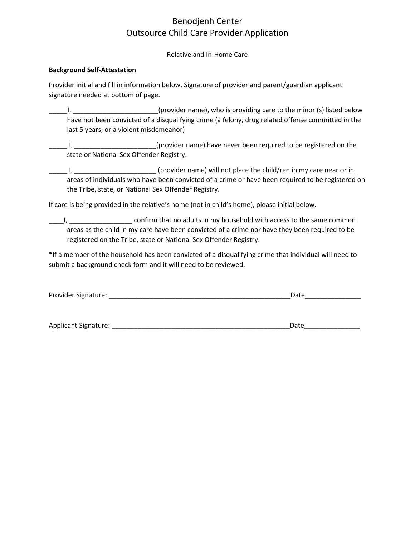Relative and In-Home Care

#### **Background Self-Attestation**

Provider initial and fill in information below. Signature of provider and parent/guardian applicant signature needed at bottom of page.

L, \_\_\_\_\_\_\_\_\_\_\_\_\_\_\_\_\_\_\_\_\_\_\_(provider name), who is providing care to the minor (s) listed below have not been convicted of a disqualifying crime (a felony, drug related offense committed in the last 5 years, or a violent misdemeanor)

L\_\_\_\_\_\_\_\_\_\_\_\_\_\_\_\_\_\_\_\_\_\_\_\_\_\_\_\_\_\_\_\_(provider name) have never been required to be registered on the state or National Sex Offender Registry.

Letter 1, Letter London and Chronider in me) will not place the child/ren in my care near or in areas of individuals who have been convicted of a crime or have been required to be registered on the Tribe, state, or National Sex Offender Registry.

If care is being provided in the relative's home (not in child's home), please initial below.

\_\_\_\_I, \_\_\_\_\_\_\_\_\_\_\_\_\_\_\_\_\_ confirm that no adults in my household with access to the same common areas as the child in my care have been convicted of a crime nor have they been required to be registered on the Tribe, state or National Sex Offender Registry.

\*If a member of the household has been convicted of a disqualifying crime that individual will need to submit a background check form and it will need to be reviewed.

| Provider Signature: |  |  |
|---------------------|--|--|
|                     |  |  |

Applicant Signature: \_\_\_\_\_\_\_\_\_\_\_\_\_\_\_\_\_\_\_\_\_\_\_\_\_\_\_\_\_\_\_\_\_\_\_\_\_\_\_\_\_\_\_\_\_\_\_\_Date\_\_\_\_\_\_\_\_\_\_\_\_\_\_\_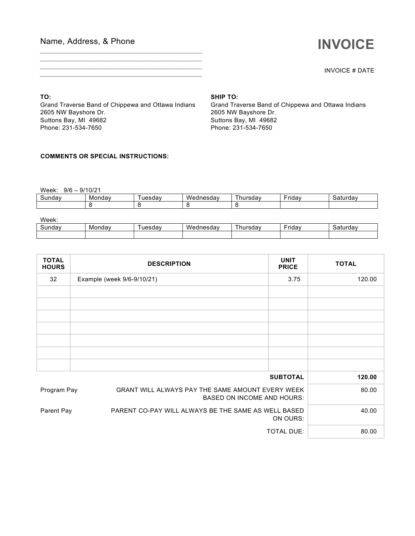## Name, Address, & Phone

# **INVOICE**

INVOICE # DATE

**TO:**

Grand Traverse Band of Chippewa and Ottawa Indians 2605 NW Bayshore Dr. Suttons Bay, MI 49682 Phone: 231-534-7650

*\_\_\_\_\_\_\_\_\_\_\_\_\_\_\_\_\_\_\_\_\_\_\_\_\_\_\_\_\_\_\_\_\_\_\_\_\_\_\_\_\_\_\_\_\_\_ \_\_\_\_\_\_\_\_\_\_\_\_\_\_\_\_\_\_\_\_\_\_\_\_\_\_\_\_\_\_\_\_\_\_\_\_\_\_\_\_\_\_\_\_\_\_ \_\_\_\_\_\_\_\_\_\_\_\_\_\_\_\_\_\_\_\_\_\_\_\_\_\_\_\_\_\_\_\_\_\_\_\_\_\_\_\_\_\_\_\_\_\_ \_\_\_\_\_\_\_\_\_\_\_\_\_\_\_\_\_\_\_\_\_\_\_\_\_\_\_\_\_\_\_\_\_\_\_\_\_\_\_\_\_\_\_\_\_\_*

#### **SHIP TO:**

Grand Traverse Band of Chippewa and Ottawa Indians 2605 NW Bayshore Dr. Suttons Bay, MI 49682 Phone: 231-534-7650

#### **COMMENTS OR SPECIAL INSTRUCTIONS:**

Week: 9/6 – 9/10/21

| Mondav<br>∽<br>Sunday |  | uesdav | . .<br>$\sim$ $\sim$ $\sim$ $\sim$ $\sim$<br><b>VVA</b><br>nesuav | uredov<br>nu<br>rəua: | $\overline{\phantom{0}}$<br>∙rıdav | uav<br>.<br>эc |
|-----------------------|--|--------|-------------------------------------------------------------------|-----------------------|------------------------------------|----------------|
|                       |  |        |                                                                   |                       |                                    |                |

| Week:  |        |        |           |               |               |          |
|--------|--------|--------|-----------|---------------|---------------|----------|
| Sundav | Mondav | uesdav | Wednesdav | --<br>hursdav | - -<br>Fridav | Saturdav |
|        |        |        |           |               |               |          |

| <b>TOTAL</b><br><b>HOURS</b> | <b>DESCRIPTION</b>                                  | <b>UNIT</b><br><b>PRICE</b>                                                           | <b>TOTAL</b> |
|------------------------------|-----------------------------------------------------|---------------------------------------------------------------------------------------|--------------|
| 32                           | Example (week 9/6-9/10/21)                          | 3.75                                                                                  | 120.00       |
|                              |                                                     |                                                                                       |              |
|                              |                                                     |                                                                                       |              |
|                              |                                                     |                                                                                       |              |
|                              |                                                     |                                                                                       |              |
|                              |                                                     |                                                                                       |              |
|                              |                                                     |                                                                                       |              |
|                              |                                                     |                                                                                       |              |
|                              |                                                     | <b>SUBTOTAL</b>                                                                       | 120.00       |
| Program Pay                  |                                                     | GRANT WILL ALWAYS PAY THE SAME AMOUNT EVERY WEEK<br><b>BASED ON INCOME AND HOURS:</b> |              |
| Parent Pay                   | PARENT CO-PAY WILL ALWAYS BE THE SAME AS WELL BASED | ON OURS:                                                                              |              |
|                              |                                                     | <b>TOTAL DUE:</b>                                                                     | 80.00        |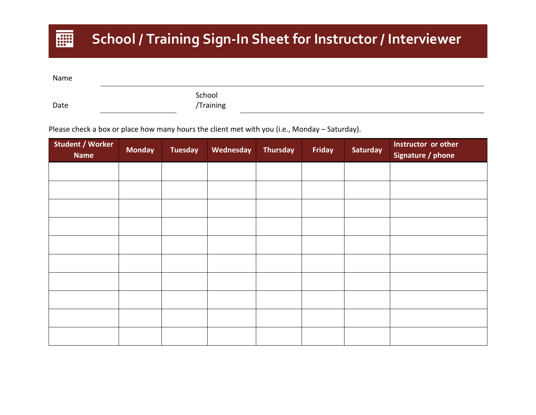# **School / Training Sign-In Sheet for Instructor / Interviewer**

Name

團

Date

School /Training

Please check a box or place how many hours the client met with you (i.e., Monday – Saturday).

| <b>Student / Worker</b><br><b>Name</b> | <b>Monday</b> | <b>Tuesday</b> | Wednesday | <b>Thursday</b> | Friday | <b>Saturday</b> | Instructor or other<br>Signature / phone |
|----------------------------------------|---------------|----------------|-----------|-----------------|--------|-----------------|------------------------------------------|
|                                        |               |                |           |                 |        |                 |                                          |
|                                        |               |                |           |                 |        |                 |                                          |
|                                        |               |                |           |                 |        |                 |                                          |
|                                        |               |                |           |                 |        |                 |                                          |
|                                        |               |                |           |                 |        |                 |                                          |
|                                        |               |                |           |                 |        |                 |                                          |
|                                        |               |                |           |                 |        |                 |                                          |
|                                        |               |                |           |                 |        |                 |                                          |
|                                        |               |                |           |                 |        |                 |                                          |
|                                        |               |                |           |                 |        |                 |                                          |